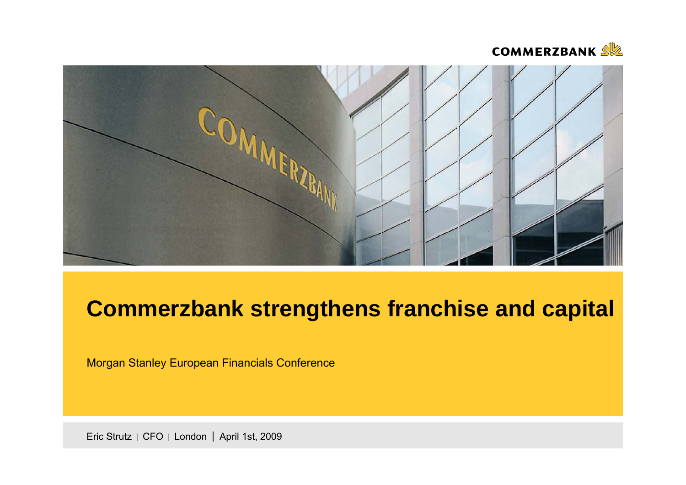



# **Commerzbank strengthens franchise and capital**

Morgan Stanley European Financials Conference

Eric Strutz | CFO | London | April 1st, 2009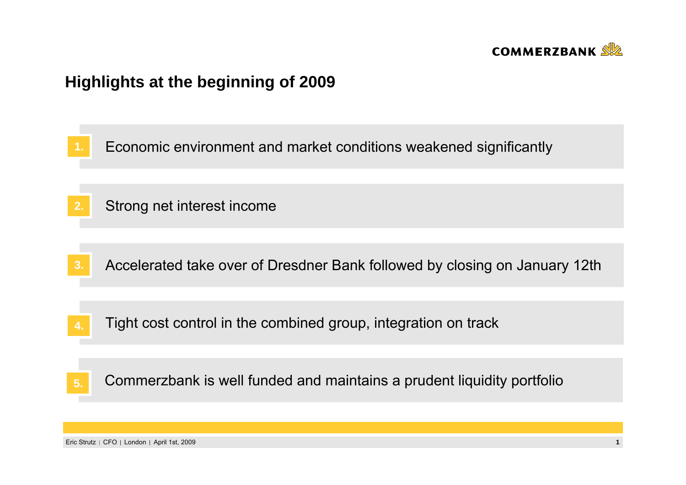

# **Highlights at the beginning of 2009**

**1.**Economic environment and market conditions weakened significantly

- **2.**Strong net interest income
- **3.**Accelerated take over of Dresdner Bank followed by closing on January 12th
- Tight cost control in the combined group, integration on track **4.**

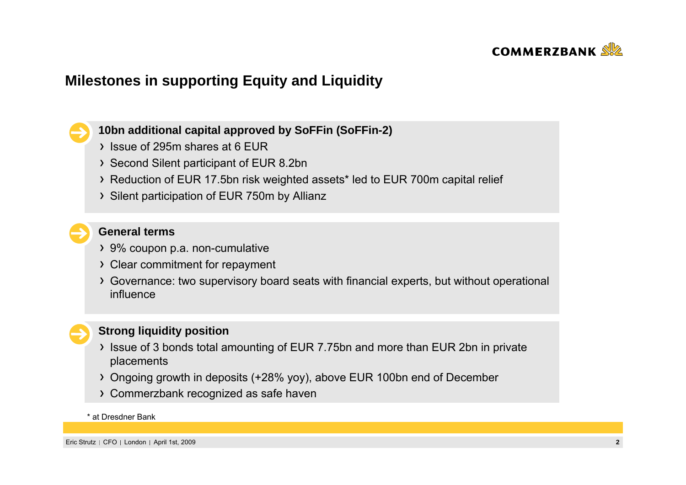

## **Milestones in supporting Equity and Liquidity**

**10bn additional capital approved by SoFFin (SoFFin-2)**

- Issue of 295m shares at 6 EUR
- Second Silent participant of EUR 8.2bn
- Reduction of EUR 17.5bn risk weighted assets\* led to EUR 700m capital relief
- > Silent participation of EUR 750m by Allianz

#### **General terms**

- 9% coupon p.a. non-cumulative
- Clear commitment for repayment
- Governance: two supervisory board seats with financial experts, but without operational influence



#### **Strong liquidity position**

- If Issue of 3 bonds total amounting of EUR 7.75bn and more than EUR 2bn in private placements
- Ongoing growth in deposits (+28% yoy), above EUR 100bn end of December
- Commerzbank recognized as safe haven

#### \* at Dresdner Bank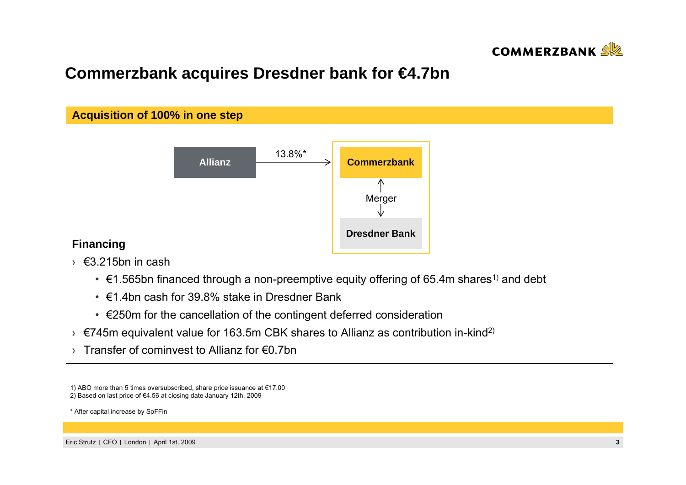

# **Commerzbank acquires Dresdner bank for €4.7bn**



#### **Financing**

- › €3.215bn in cash
	- $\epsilon$ 1.565bn financed through a non-preemptive equity offering of 65.4m shares<sup>1)</sup> and debt
	- €1.4bn cash for 39.8% stake in Dresdner Bank
	- €250m for the cancellation of the contingent deferred consideration
- > €745m equivalent value for 163.5m CBK shares to Allianz as contribution in-kind<sup>2)</sup>
- › Transfer of cominvest to Allianz for €0.7bn

1) ABO more than 5 times oversubscribed, share price issuance at €17.00 2) Based on last price of €4.56 at closing date January 12th, 2009

\* After capital increase by SoFFin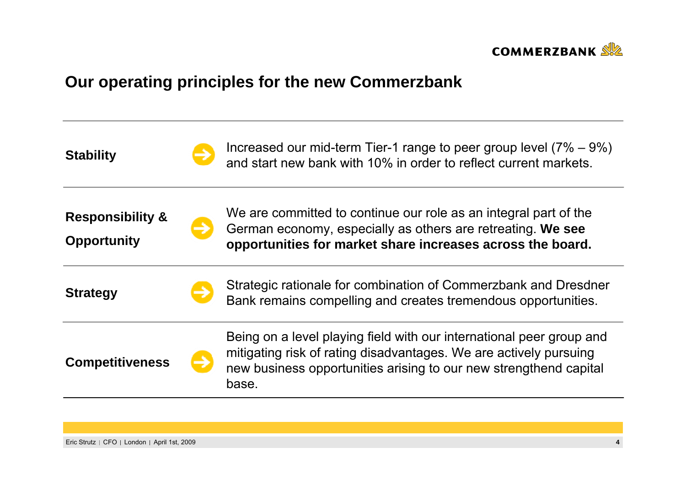

# **Our operating principles for the new Commerzbank**

| <b>Stability</b>                                  | Increased our mid-term Tier-1 range to peer group level $(7\% - 9\%)$<br>and start new bank with 10% in order to reflect current markets.                                                                               |  |  |  |  |
|---------------------------------------------------|-------------------------------------------------------------------------------------------------------------------------------------------------------------------------------------------------------------------------|--|--|--|--|
| <b>Responsibility &amp;</b><br><b>Opportunity</b> | We are committed to continue our role as an integral part of the<br>German economy, especially as others are retreating. We see<br>opportunities for market share increases across the board.                           |  |  |  |  |
| <b>Strategy</b>                                   | Strategic rationale for combination of Commerzbank and Dresdner<br>Bank remains compelling and creates tremendous opportunities.                                                                                        |  |  |  |  |
| <b>Competitiveness</b>                            | Being on a level playing field with our international peer group and<br>mitigating risk of rating disadvantages. We are actively pursuing<br>new business opportunities arising to our new strengthend capital<br>base. |  |  |  |  |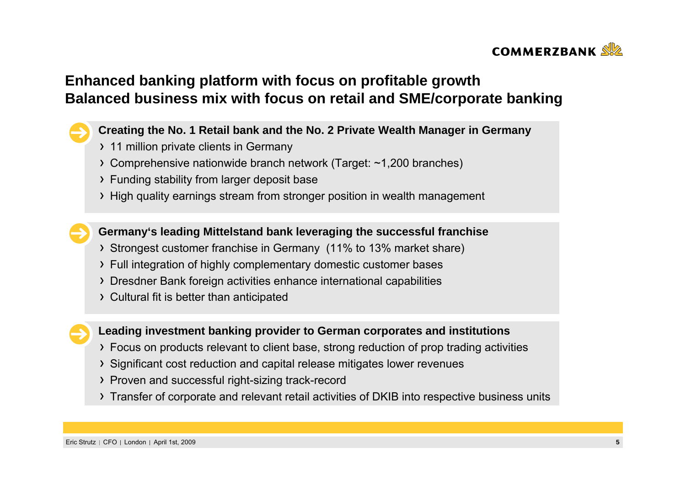

## **Enhanced banking platform with focus on profitable growth Balanced business mix with focus on retail and SME/corporate banking**

#### **Creating the No. 1 Retail bank and the No. 2 Private Wealth Manager in Germany**

- > 11 million private clients in Germany
- Comprehensive nationwide branch network (Target: ~1,200 branches)
- Funding stability from larger deposit base
- High quality earnings stream from stronger position in wealth management

**Germany's leading Mittelstand bank leveraging the successful franchise**

- Strongest customer franchise in Germany (11% to 13% market share)
- Full integration of highly complementary domestic customer bases
- Dresdner Bank foreign activities enhance international capabilities
- Cultural fit is better than anticipated

**Leading investment banking provider to German corporates and institutions** 

- Focus on products relevant to client base, strong reduction of prop trading activities
- Significant cost reduction and capital release mitigates lower revenues
- Proven and successful right-sizing track-record
- Transfer of corporate and relevant retail activities of DKIB into respective business units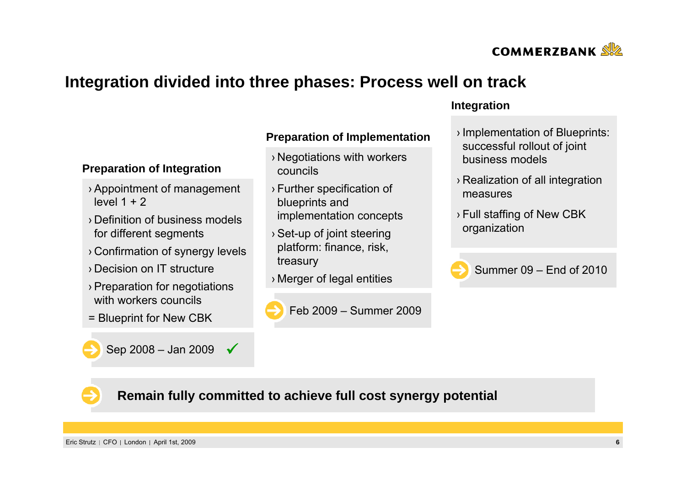

## **Integration divided into three phases: Process well on track**

## **Preparation of Implementation**

- › Negotiations with workers councils
- › Further specification of blueprints and implementation concepts
- › Set-up of joint steering platform: finance, risk, treasury
- $\bullet$  Summer 09 End of 2010



#### **Integration**

- › Implementation of Blueprints: successful rollout of joint business models
- › Realization of all integration measures
- › Full staffing of New CBK organization





### **Remain fully committed to achieve full cost synergy potential**

Eric Strutz CFO London April 1st, 2009 **6**

Sep 2008 – Jan 2009  $\sqrt{}$ 

› Appointment of management

› Definition of business models

› Confirmation of synergy levels

› Preparation for negotiations

for different segments

**Preparation of Integration**

› Decision on IT structure

with workers councils

level  $1 + 2$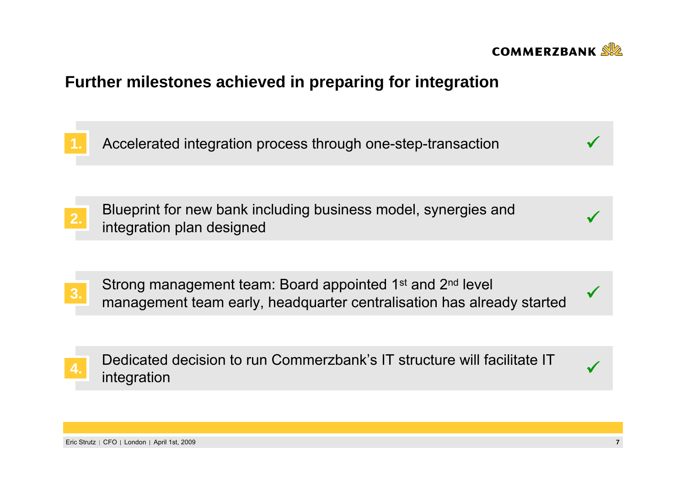

# **Further milestones achieved in preparing for integration**

**1.**Accelerated integration process through one-step-transaction

Blueprint for new bank including business model, synergies and 2. Bideplint for new bank including business model, synergies and **the contract of the synethetic synetyles** and **the contract of the synetyles** and **the contract of the contract of the contract of the synetyles and <b>the c** 

Strong management team: Board appointed 1<sup>st</sup> and 2<sup>nd</sup> level management team early, headquarter centralisation has already started **3.** <sup>9</sup>

**4.** Dedicated decision to run Commerzbank's IT structure will facilitate IT  $\sqrt{ }$ 

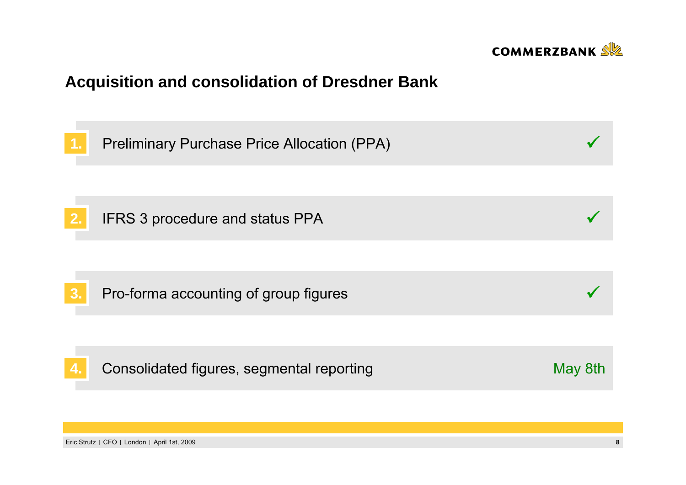

# **Acquisition and consolidation of Dresdner Bank**

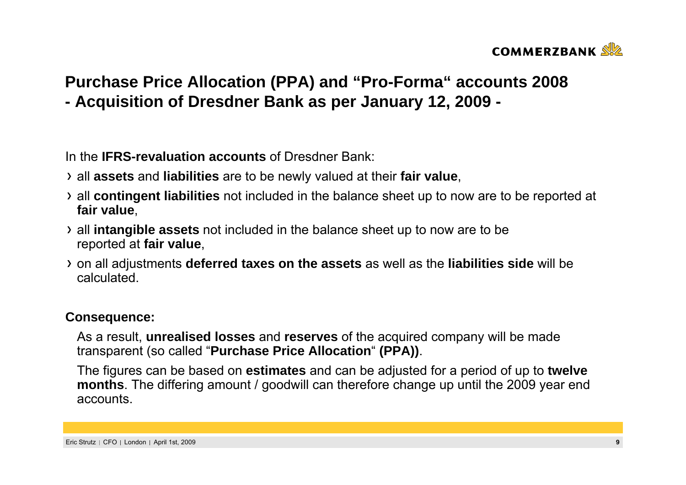

# **Purchase Price Allocation (PPA) and "Pro-Forma" accounts 2008 - Acquisition of Dresdner Bank as per January 12, 2009 -**

In the **IFRS-revaluation accounts** of Dresdner Bank:

- all **assets** and **liabilities** are to be newly valued at their **fair value**,
- all **contingent liabilities** not included in the balance sheet up to now are to be reported at **fair value**,
- all **intangible assets** not included in the balance sheet up to now are to be reported at **fair value**,
- on all adjustments **deferred taxes on the assets** as well as the **liabilities side** will be calculated.

#### **Consequence:**

As a result, **unrealised losses** and **reserves** of the acquired company will be made transparent (so called "**Purchase Price Allocation**" **(PPA))**.

The figures can be based on **estimates** and can be adjusted for a period of up to **twelve months**. The differing amount / goodwill can therefore change up until the 2009 year end accounts.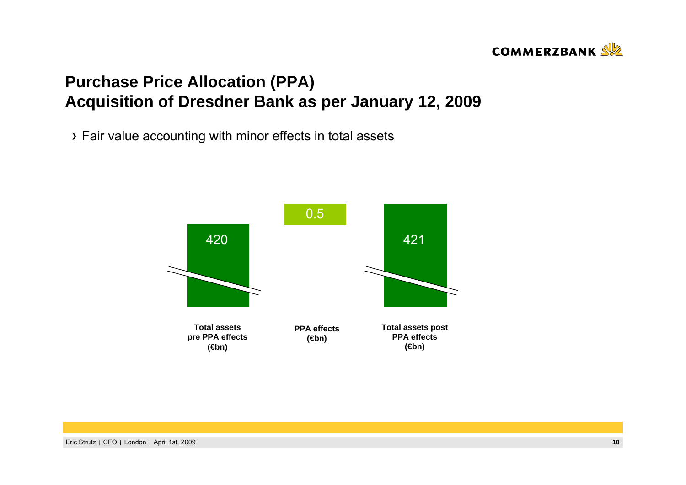## **COMMERZBANK**

# **Purchase Price Allocation (PPA) Acquisition of Dresdner Bank as per January 12, 2009**

Fair value accounting with minor effects in total assets

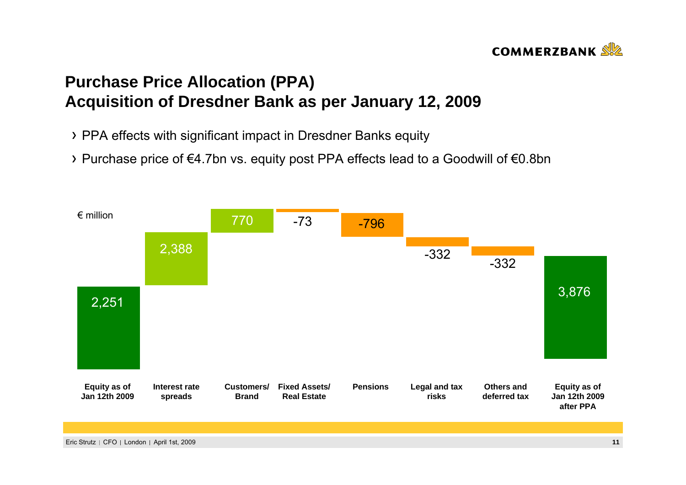# **COMMERZBANK**

# **Purchase Price Allocation (PPA) Acquisition of Dresdner Bank as per January 12, 2009**

- PPA effects with significant impact in Dresdner Banks equity
- Purchase price of €4.7bn vs. equity post PPA effects lead to a Goodwill of €0.8bn

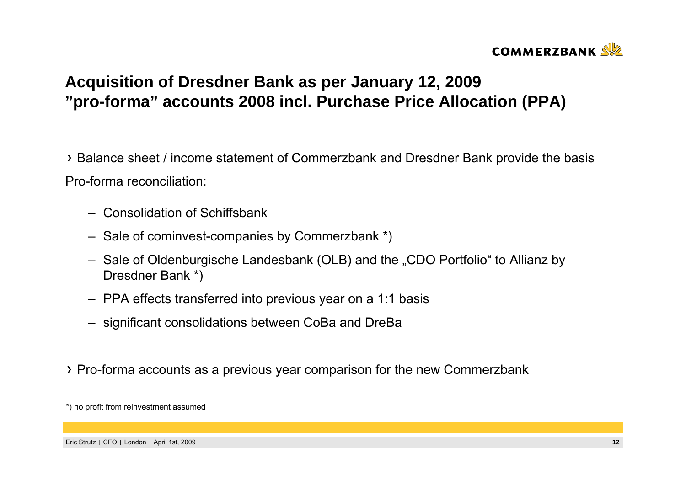

# **Acquisition of Dresdner Bank as per January 12, 2009 "pro-forma" accounts 2008 incl. Purchase Price Allocation (PPA)**

Balance sheet / income statement of Commerzbank and Dresdner Bank provide the basis Pro-forma reconciliation:

- Consolidation of Schiffsbank
- Sale of cominvest-companies by Commerzbank \*)
- Sale of Oldenburgische Landesbank (OLB) and the "CDO Portfolio" to Allianz by Dresdner Bank \*)
- PPA effects transferred into previous year on a 1:1 basis
- significant consolidations between CoBa and DreBa
- Pro-forma accounts as a previous year comparison for the new Commerzbank

<sup>\*)</sup> no profit from reinvestment assumed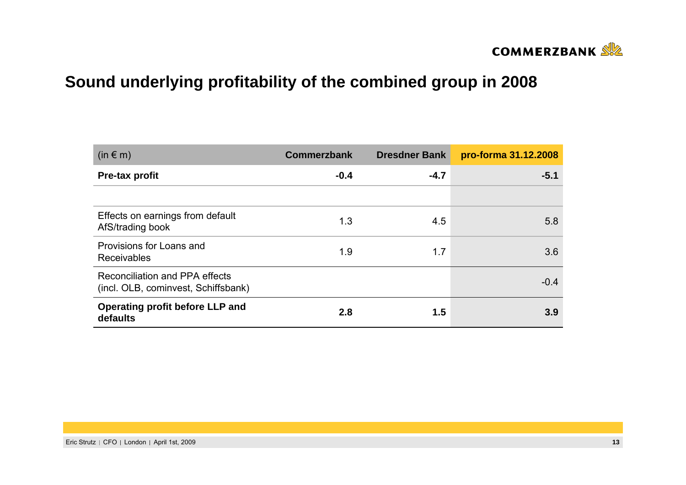

# **Sound underlying profitability of the combined group in 2008**

| $(in \in m)$                                                          | <b>Commerzbank</b> | <b>Dresdner Bank</b> | pro-forma 31.12.2008 |
|-----------------------------------------------------------------------|--------------------|----------------------|----------------------|
| Pre-tax profit                                                        | $-0.4$             | $-4.7$               | $-5.1$               |
|                                                                       |                    |                      |                      |
| Effects on earnings from default<br>AfS/trading book                  | 1.3                | 4.5                  | 5.8                  |
| Provisions for Loans and<br><b>Receivables</b>                        | 1.9                | 1.7                  | 3.6                  |
| Reconciliation and PPA effects<br>(incl. OLB, cominvest, Schiffsbank) |                    |                      | $-0.4$               |
| Operating profit before LLP and<br>defaults                           | 2.8                | 1.5                  | 3.9                  |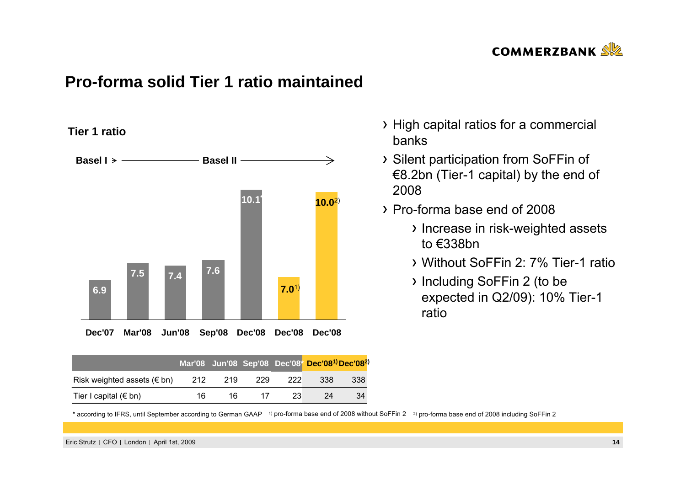

## **Pro-forma solid Tier 1 ratio maintained**

**Tier 1 ratio**



|                                     |     |     |     |     | Mar'08 Jun'08 Sep'08 Dec'08* Dec'08 <sup>1)</sup> Dec'08 <sup>2</sup> |     |
|-------------------------------------|-----|-----|-----|-----|-----------------------------------------------------------------------|-----|
| Risk weighted assets ( $\notin$ bn) | 212 | 219 | 229 | 222 | 338                                                                   | 338 |
| Tier I capital ( $\notin$ bn)       | 16  | 16  | 17  | 23  | 24                                                                    | 34  |

- High capital ratios for a commercial banks
- Silent participation from SoFFin of €8.2bn (Tier-1 capital) by the end of 2008
- Pro-forma base end of 2008
	- > Increase in risk-weighted assets to €338bn
	- Without SoFFin 2: 7% Tier-1 ratio
	- Including SoFFin 2 (to be expected in Q2/09): 10% Tier-1 ratio

\* according to IFRS, until September according to German GAAP 1) pro-forma base end of 2008 without SoFFin 2 2) pro-forma base end of 2008 including SoFFin 2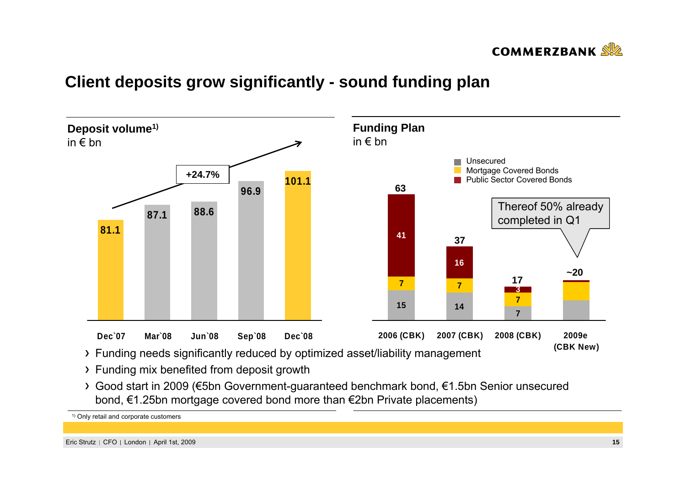

# **Client deposits grow significantly - sound funding plan**



- Funding mix benefited from deposit growth
- Good start in 2009 (€5bn Government-guaranteed benchmark bond, €1.5bn Senior unsecured bond, €1.25bn mortgage covered bond more than €2bn Private placements)

1) Only retail and corporate customers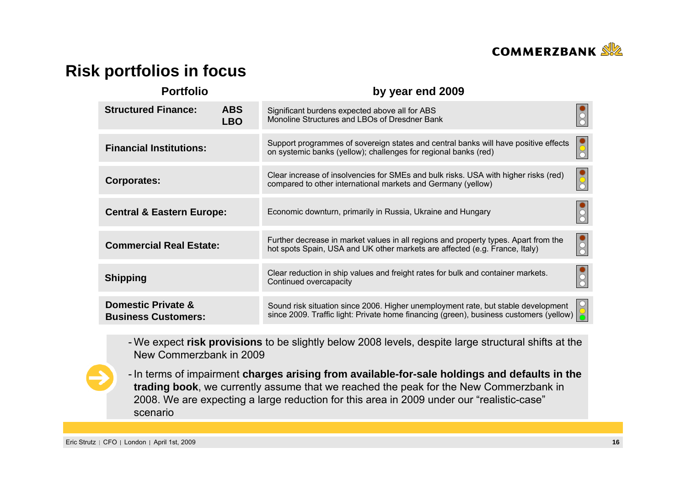

# **Risk portfolios in focus**

| <b>Portfolio</b>                                 |                          | by year end 2009                                                                                                                                                                              |                         |
|--------------------------------------------------|--------------------------|-----------------------------------------------------------------------------------------------------------------------------------------------------------------------------------------------|-------------------------|
| <b>Structured Finance:</b>                       | <b>ABS</b><br><b>LBO</b> | Significant burdens expected above all for ABS<br>Monoline Structures and LBOs of Dresdner Bank                                                                                               |                         |
| <b>Financial Institutions:</b>                   |                          | Support programmes of sovereign states and central banks will have positive effects<br>on systemic banks (yellow); challenges for regional banks (red)                                        | $\overline{\textbf{O}}$ |
| <b>Corporates:</b>                               |                          | Clear increase of insolvencies for SMEs and bulk risks. USA with higher risks (red)<br>compared to other international markets and Germany (yellow)                                           | $\overline{\text{O}}$   |
| <b>Central &amp; Eastern Europe:</b>             |                          | Economic downturn, primarily in Russia, Ukraine and Hungary                                                                                                                                   |                         |
| <b>Commercial Real Estate:</b>                   |                          | Further decrease in market values in all regions and property types. Apart from the<br>hot spots Spain, USA and UK other markets are affected (e.g. France, Italy)                            | $ \frac{1}{20}$         |
| <b>Shipping</b>                                  |                          | Clear reduction in ship values and freight rates for bulk and container markets.<br>Continued overcapacity                                                                                    |                         |
| Domestic Private &<br><b>Business Customers:</b> |                          | Sound risk situation since 2006. Higher unemployment rate, but stable development<br>since 2009. Traffic light: Private home financing (green), business customers (yellow) $\boxed{\bullet}$ |                         |

- We expect **risk provisions** to be slightly below 2008 levels, despite large structural shifts at the New Commerzbank in 2009

- In terms of impairment **charges arising from available-for-sale holdings and defaults in the trading book**, we currently assume that we reached the peak for the New Commerzbank in 2008. We are expecting a large reduction for this area in 2009 under our "realistic-case" scenario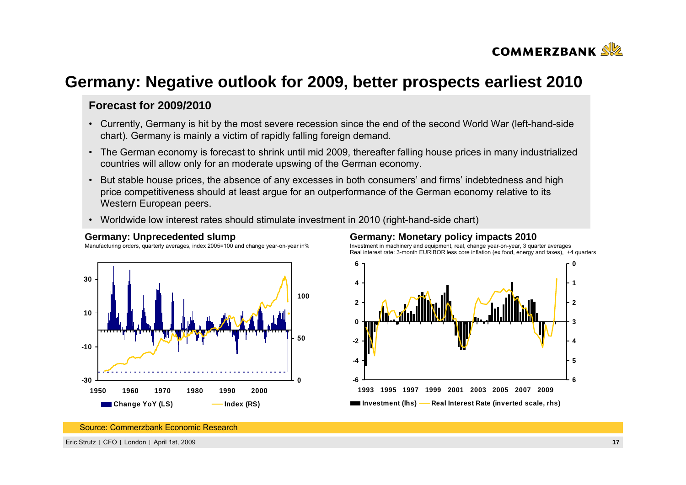

## **Germany: Negative outlook for 2009, better prospects earliest 2010**

#### **Forecast for 2009/2010**

- Currently, Germany is hit by the most severe recession since the end of the second World War (left-hand-side chart). Germany is mainly a victim of rapidly falling foreign demand.
- The German economy is forecast to shrink until mid 2009, thereafter falling house prices in many industrialized countries will allow only for an moderate upswing of the German economy.
- But stable house prices, the absence of any excesses in both consumers' and firms' indebtedness and high price competitiveness should at least argue for an outperformance of the German economy relative to its Western European peers.
- •Worldwide low interest rates should stimulate investment in 2010 (right-hand-side chart)



#### **Germany: Unprecedented slump**

Manufacturing orders, quarterly averages, index 2005=100 and change year-on-year in%

#### **Germany: Monetary policy impacts 2010**

Investment in machinery and equipment, real, change year-on-year, 3 quarter averages Real interest rate: 3-month EURIBOR less core inflation (ex food, energy and taxes), +4 quarters



Source: Commerzbank Economic Research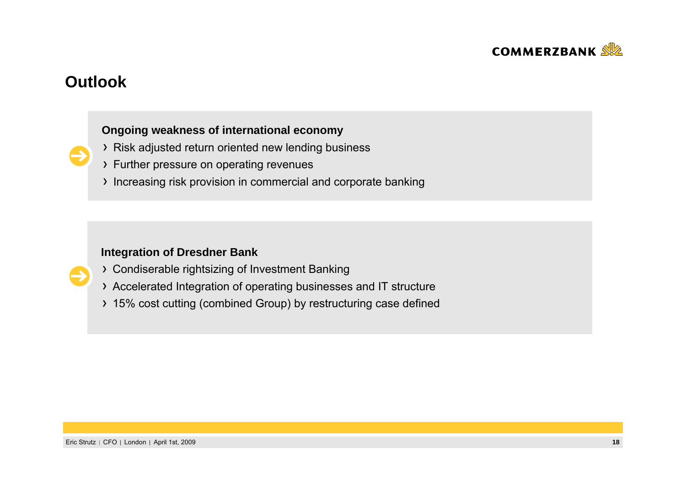

## **Outlook**

#### **Ongoing weakness of international economy**

- Risk adjusted return oriented new lending business
- > Further pressure on operating revenues
- Increasing risk provision in commercial and corporate banking

#### **Integration of Dresdner Bank**

- Condiserable rightsizing of Investment Banking
- Accelerated Integration of operating businesses and IT structure
- > 15% cost cutting (combined Group) by restructuring case defined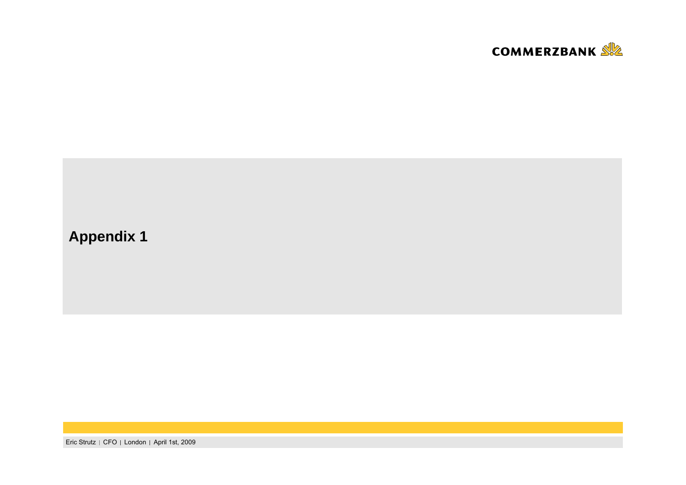

# **Appendix 1**

Eric Strutz | CFO | London | April 1st, 2009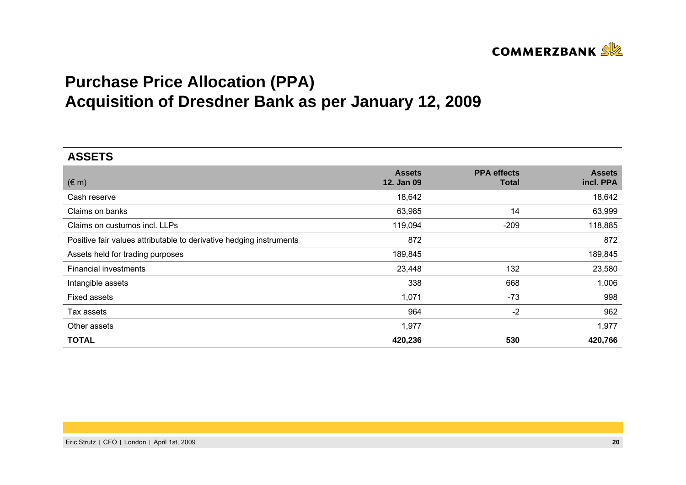

# **Purchase Price Allocation (PPA) Acquisition of Dresdner Bank as per January 12, 2009**

| <b>ASSETS</b>                                                       |                             |                                    |                            |
|---------------------------------------------------------------------|-----------------------------|------------------------------------|----------------------------|
| $(\in$ m)                                                           | <b>Assets</b><br>12. Jan 09 | <b>PPA</b> effects<br><b>Total</b> | <b>Assets</b><br>incl. PPA |
| Cash reserve                                                        | 18,642                      |                                    | 18,642                     |
| Claims on banks                                                     | 63,985                      | 14                                 | 63,999                     |
| Claims on custumos incl. LLPs                                       | 119,094                     | $-209$                             | 118,885                    |
| Positive fair values attributable to derivative hedging instruments | 872                         |                                    | 872                        |
| Assets held for trading purposes                                    | 189,845                     |                                    | 189,845                    |
| Financial investments                                               | 23,448                      | 132                                | 23,580                     |
| Intangible assets                                                   | 338                         | 668                                | 1,006                      |
| <b>Fixed assets</b>                                                 | 1,071                       | $-73$                              | 998                        |
| Tax assets                                                          | 964                         | $-2$                               | 962                        |
| Other assets                                                        | 1,977                       |                                    | 1,977                      |
| <b>TOTAL</b>                                                        | 420,236                     | 530                                | 420,766                    |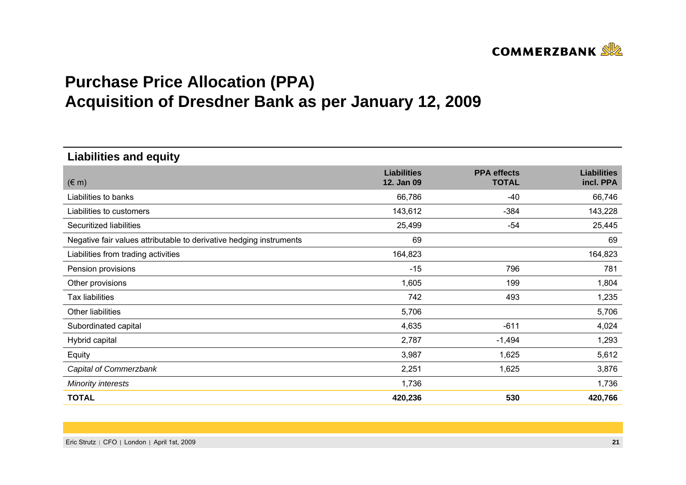

# **Purchase Price Allocation (PPA) Acquisition of Dresdner Bank as per January 12, 2009**

**Liabilities and equity**

| $(\in$ m)                                                           | <b>Liabilities</b><br>12. Jan 09 | <b>PPA</b> effects<br><b>TOTAL</b> | <b>Liabilities</b><br>incl. PPA |
|---------------------------------------------------------------------|----------------------------------|------------------------------------|---------------------------------|
| Liabilities to banks                                                | 66,786                           | $-40$                              | 66,746                          |
| Liabilities to customers                                            | 143,612                          | $-384$                             | 143,228                         |
| Securitized liabilities                                             | 25,499                           | $-54$                              | 25,445                          |
| Negative fair values attributable to derivative hedging instruments | 69                               |                                    | 69                              |
| Liabilities from trading activities                                 | 164,823                          |                                    | 164,823                         |
| Pension provisions                                                  | $-15$                            | 796                                | 781                             |
| Other provisions                                                    | 1,605                            | 199                                | 1,804                           |
| Tax liabilities                                                     | 742                              | 493                                | 1,235                           |
| Other liabilities                                                   | 5,706                            |                                    | 5,706                           |
| Subordinated capital                                                | 4,635                            | $-611$                             | 4,024                           |
| Hybrid capital                                                      | 2,787                            | $-1,494$                           | 1,293                           |
| Equity                                                              | 3,987                            | 1,625                              | 5,612                           |
| Capital of Commerzbank                                              | 2,251                            | 1,625                              | 3,876                           |
| <b>Minority interests</b>                                           | 1,736                            |                                    | 1,736                           |
| <b>TOTAL</b>                                                        | 420,236                          | 530                                | 420,766                         |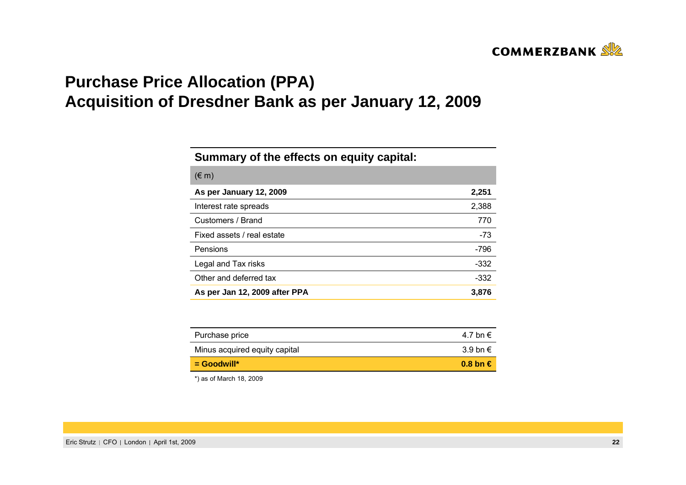

# **Purchase Price Allocation (PPA) Acquisition of Dresdner Bank as per January 12, 2009**

#### **Summary of the effects on equity capital:**

| $(\in$ m)                     |        |
|-------------------------------|--------|
| As per January 12, 2009       | 2,251  |
| Interest rate spreads         | 2,388  |
| Customers / Brand             | 770    |
| Fixed assets / real estate    | $-73$  |
| Pensions                      | $-796$ |
| Legal and Tax risks           | -332   |
| Other and deferred tax        | -332   |
| As per Jan 12, 2009 after PPA | 3,876  |

| $\blacksquare$ Goodwill*      | $0.8 \text{ bn} \in$ |
|-------------------------------|----------------------|
| Minus acquired equity capital | 3.9 bn $\in$         |
| Purchase price                | 4.7 bn €             |

\*) as of March 18, 2009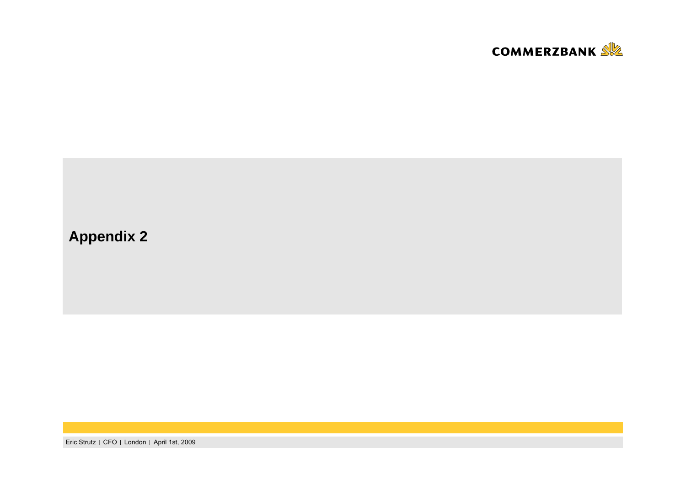

## **Appendix 2**

Eric Strutz | CFO | London | April 1st, 2009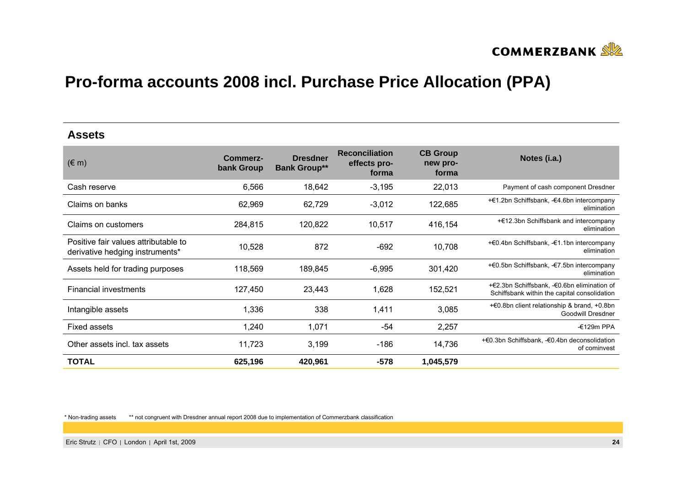

#### **Assets**

| $(\in$ m)                                                               | Commerz-<br>bank Group | <b>Dresdner</b><br><b>Bank Group**</b> | <b>Reconciliation</b><br>effects pro-<br>forma | <b>CB Group</b><br>new pro-<br>forma | Notes (i.a.)                                                                                |
|-------------------------------------------------------------------------|------------------------|----------------------------------------|------------------------------------------------|--------------------------------------|---------------------------------------------------------------------------------------------|
| Cash reserve                                                            | 6,566                  | 18,642                                 | $-3,195$                                       | 22,013                               | Payment of cash component Dresdner                                                          |
| Claims on banks                                                         | 62,969                 | 62,729                                 | $-3,012$                                       | 122,685                              | +€1.2bn Schiffsbank, -€4.6bn intercompany<br>elimination                                    |
| Claims on customers                                                     | 284,815                | 120,822                                | 10,517                                         | 416,154                              | +€12.3bn Schiffsbank and intercompany<br>elimination                                        |
| Positive fair values attributable to<br>derivative hedging instruments* | 10,528                 | 872                                    | $-692$                                         | 10,708                               | +€0.4bn Schiffsbank, -€1.1bn intercompany<br>elimination                                    |
| Assets held for trading purposes                                        | 118,569                | 189,845                                | $-6,995$                                       | 301,420                              | +€0.5bn Schiffsbank, -€7.5bn intercompany<br>elimination                                    |
| <b>Financial investments</b>                                            | 127,450                | 23,443                                 | 1,628                                          | 152,521                              | +€2.3bn Schiffsbank, -€0.6bn elimination of<br>Schiffsbank within the capital consolidation |
| Intangible assets                                                       | 1,336                  | 338                                    | 1,411                                          | 3,085                                | +€0.8bn client relationship & brand, +0.8bn<br>Goodwill Dresdner                            |
| <b>Fixed assets</b>                                                     | 1,240                  | 1,071                                  | -54                                            | 2,257                                | $-£129m$ PPA                                                                                |
| Other assets incl. tax assets                                           | 11,723                 | 3,199                                  | $-186$                                         | 14,736                               | +€0.3bn Schiffsbank, -€0.4bn deconsolidation<br>of cominvest                                |
| <b>TOTAL</b>                                                            | 625,196                | 420,961                                | $-578$                                         | 1,045,579                            |                                                                                             |

\* Non-trading assets \*\* not congruent with Dresdner annual report 2008 due to implementation of Commerzbank classification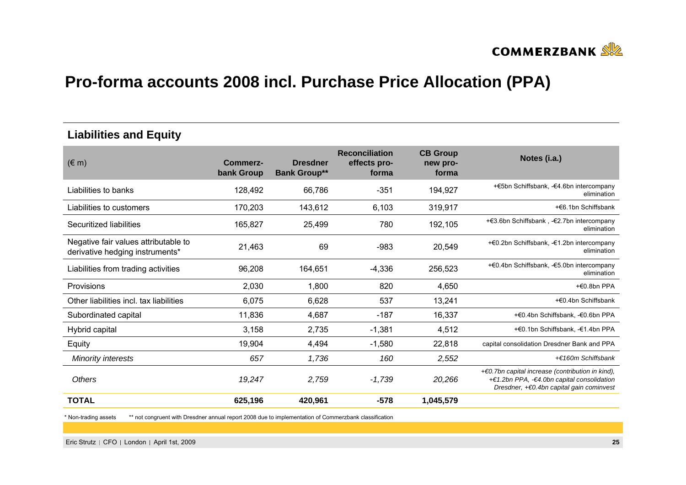

#### **Liabilities and Equity**

| $(\in$ m)                                                               | Commerz-<br>bank Group | <b>Dresdner</b><br><b>Bank Group**</b> | <b>Reconciliation</b><br>effects pro-<br>forma | <b>CB Group</b><br>new pro-<br>forma | Notes (i.a.)                                                                                                                                  |
|-------------------------------------------------------------------------|------------------------|----------------------------------------|------------------------------------------------|--------------------------------------|-----------------------------------------------------------------------------------------------------------------------------------------------|
| Liabilities to banks                                                    | 128,492                | 66,786                                 | $-351$                                         | 194,927                              | +€5bn Schiffsbank, -€4.6bn intercompany<br>elimination                                                                                        |
| Liabilities to customers                                                | 170,203                | 143,612                                | 6,103                                          | 319,917                              | +€6.1bn Schiffsbank                                                                                                                           |
| Securitized liabilities                                                 | 165,827                | 25,499                                 | 780                                            | 192,105                              | +€3.6bn Schiffsbank, -€2.7bn intercompany<br>elimination                                                                                      |
| Negative fair values attributable to<br>derivative hedging instruments* | 21,463                 | 69                                     | $-983$                                         | 20,549                               | +€0.2bn Schiffsbank, -€1.2bn intercompany<br>elimination                                                                                      |
| Liabilities from trading activities                                     | 96,208                 | 164,651                                | $-4,336$                                       | 256,523                              | +€0.4bn Schiffsbank, -€5.0bn intercompany<br>elimination                                                                                      |
| <b>Provisions</b>                                                       | 2,030                  | 1,800                                  | 820                                            | 4,650                                | $+60.8$ bn PPA                                                                                                                                |
| Other liabilities incl. tax liabilities                                 | 6,075                  | 6,628                                  | 537                                            | 13,241                               | +€0.4bn Schiffsbank                                                                                                                           |
| Subordinated capital                                                    | 11,836                 | 4,687                                  | $-187$                                         | 16,337                               | +€0.4bn Schiffsbank, -€0.6bn PPA                                                                                                              |
| Hybrid capital                                                          | 3,158                  | 2,735                                  | $-1,381$                                       | 4,512                                | +€0.1bn Schiffsbank, -€1.4bn PPA                                                                                                              |
| Equity                                                                  | 19,904                 | 4,494                                  | $-1,580$                                       | 22,818                               | capital consolidation Dresdner Bank and PPA                                                                                                   |
| <b>Minority interests</b>                                               | 657                    | 1,736                                  | 160                                            | 2,552                                | +€160m Schiffsbank                                                                                                                            |
| Others                                                                  | 19,247                 | 2,759                                  | $-1,739$                                       | 20,266                               | $+60.7$ bn capital increase (contribution in kind),<br>+€1.2bn PPA, -€4.0bn capital consolidation<br>Dresdner, +€0.4bn capital gain cominvest |
| <b>TOTAL</b>                                                            | 625,196                | 420,961                                | $-578$                                         | 1,045,579                            |                                                                                                                                               |

\* Non-trading assets \*\* not congruent with Dresdner annual report 2008 due to implementation of Commerzbank classification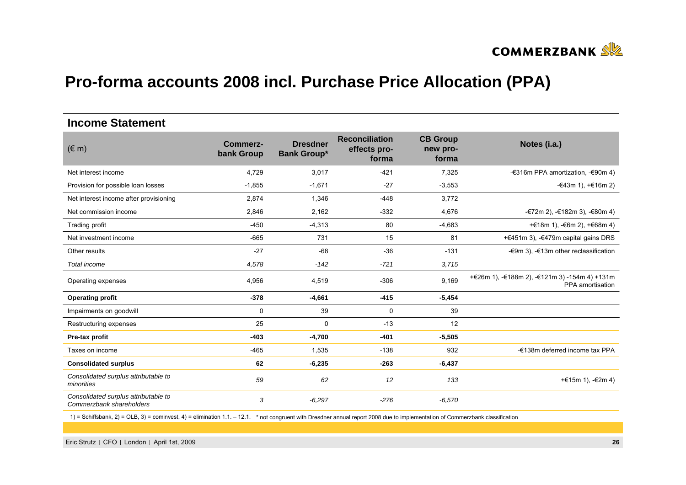

#### **Income Statement**

| $(\in$ m)                                                        | <b>Commerz-</b><br>bank Group | <b>Dresdner</b><br><b>Bank Group*</b> | <b>Reconciliation</b><br>effects pro-<br>forma | <b>CB Group</b><br>new pro-<br>forma | Notes (i.a.)                                                      |
|------------------------------------------------------------------|-------------------------------|---------------------------------------|------------------------------------------------|--------------------------------------|-------------------------------------------------------------------|
| Net interest income                                              | 4,729                         | 3,017                                 | $-421$                                         | 7,325                                | -€316m PPA amortization, -€90m 4)                                 |
| Provision for possible loan losses                               | $-1,855$                      | $-1,671$                              | $-27$                                          | $-3,553$                             | -€43m 1), $+€16m 2$ )                                             |
| Net interest income after provisioning                           | 2,874                         | 1,346                                 | $-448$                                         | 3,772                                |                                                                   |
| Net commission income                                            | 2,846                         | 2,162                                 | $-332$                                         | 4,676                                | -€72m 2), -€182m 3), -€80m 4)                                     |
| Trading profit                                                   | $-450$                        | $-4,313$                              | 80                                             | $-4,683$                             | +€18m 1), $-6$ 6m 2), $+66$ 8m 4)                                 |
| Net investment income                                            | $-665$                        | 731                                   | 15                                             | 81                                   | +€451m 3), -€479m capital gains DRS                               |
| Other results                                                    | $-27$                         | $-68$                                 | $-36$                                          | $-131$                               | $-$ €9m 3), $-$ €13m other reclassification                       |
| Total income                                                     | 4,578                         | $-142$                                | $-721$                                         | 3,715                                |                                                                   |
| Operating expenses                                               | 4,956                         | 4,519                                 | $-306$                                         | 9,169                                | +€26m 1), -€188m 2), -€121m 3) -154m 4) +131m<br>PPA amortisation |
| <b>Operating profit</b>                                          | $-378$                        | $-4,661$                              | $-415$                                         | $-5,454$                             |                                                                   |
| Impairments on goodwill                                          | 0                             | 39                                    | 0                                              | 39                                   |                                                                   |
| Restructuring expenses                                           | 25                            | $\mathbf 0$                           | $-13$                                          | 12                                   |                                                                   |
| Pre-tax profit                                                   | $-403$                        | $-4,700$                              | $-401$                                         | $-5,505$                             |                                                                   |
| Taxes on income                                                  | $-465$                        | 1,535                                 | $-138$                                         | 932                                  | -€138m deferred income tax PPA                                    |
| <b>Consolidated surplus</b>                                      | 62                            | $-6,235$                              | $-263$                                         | $-6,437$                             |                                                                   |
| Consolidated surplus attributable to<br>minorities               | 59                            | 62                                    | 12                                             | 133                                  | + €15 m 1), $-$ €2 m 4)                                           |
| Consolidated surplus attributable to<br>Commerzbank shareholders | 3                             | $-6,297$                              | $-276$                                         | $-6,570$                             |                                                                   |

1) = Schiffsbank, 2) = OLB, 3) = cominvest, 4) = elimination 1.1. – 12.1. \* not congruent with Dresdner annual report 2008 due to implementation of Commerzbank classification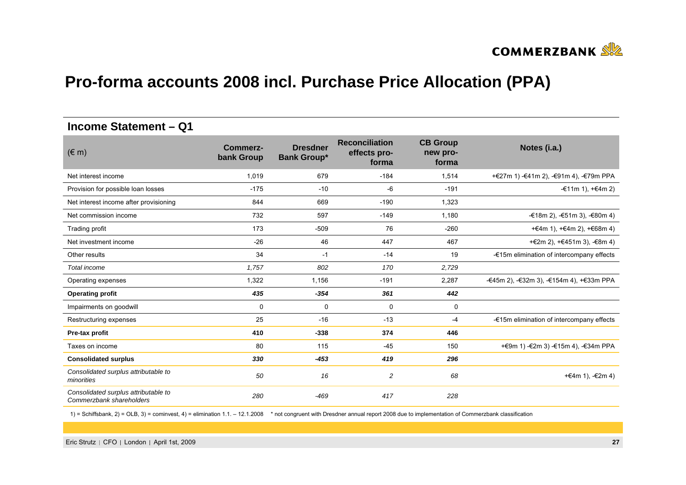

#### **Income Statement – Q1**

| $(\in$ m)                                                        | Commerz-<br>bank Group | <b>Dresdner</b><br><b>Bank Group*</b> | <b>Reconciliation</b><br>effects pro-<br>forma | <b>CB Group</b><br>new pro-<br>forma | Notes (i.a.)                              |
|------------------------------------------------------------------|------------------------|---------------------------------------|------------------------------------------------|--------------------------------------|-------------------------------------------|
| Net interest income                                              | 1,019                  | 679                                   | $-184$                                         | 1,514                                | +€27m 1) -€41m 2), -€91m 4), -€79m PPA    |
| Provision for possible loan losses                               | $-175$                 | $-10$                                 | -6                                             | $-191$                               | -€11m 1), +€4m 2)                         |
| Net interest income after provisioning                           | 844                    | 669                                   | $-190$                                         | 1,323                                |                                           |
| Net commission income                                            | 732                    | 597                                   | $-149$                                         | 1,180                                | -€18m 2), $-€51m$ 3), $-€80m$ 4)          |
| Trading profit                                                   | 173                    | $-509$                                | 76                                             | $-260$                               | + €4m 1), + €4m 2), + €68m 4)             |
| Net investment income                                            | $-26$                  | 46                                    | 447                                            | 467                                  | +€2m 2), +€451m 3), -€8m 4)               |
| Other results                                                    | 34                     | $-1$                                  | $-14$                                          | 19                                   | -€15m elimination of intercompany effects |
| Total income                                                     | 1.757                  | 802                                   | 170                                            | 2,729                                |                                           |
| Operating expenses                                               | 1,322                  | 1,156                                 | $-191$                                         | 2,287                                | -€45m 2), -€32m 3), -€154m 4), +€33m PPA  |
| <b>Operating profit</b>                                          | 435                    | $-354$                                | 361                                            | 442                                  |                                           |
| Impairments on goodwill                                          | $\mathbf 0$            | $\mathbf 0$                           | 0                                              | 0                                    |                                           |
| Restructuring expenses                                           | 25                     | $-16$                                 | $-13$                                          | $-4$                                 | -€15m elimination of intercompany effects |
| Pre-tax profit                                                   | 410                    | $-338$                                | 374                                            | 446                                  |                                           |
| Taxes on income                                                  | 80                     | 115                                   | $-45$                                          | 150                                  | + €9m 1) - €2m 3) - €15m 4), - €34m PPA   |
| <b>Consolidated surplus</b>                                      | 330                    | $-453$                                | 419                                            | 296                                  |                                           |
| Consolidated surplus attributable to<br>minorities               | 50                     | 16                                    | 2                                              | 68                                   | +€4m 1), $-€2m 4$                         |
| Consolidated surplus attributable to<br>Commerzbank shareholders | 280                    | $-469$                                | 417                                            | 228                                  |                                           |

1) = Schiffsbank, 2) = OLB, 3) = cominvest, 4) = elimination 1.1. – 12.1.2008 \* not congruent with Dresdner annual report 2008 due to implementation of Commerzbank classification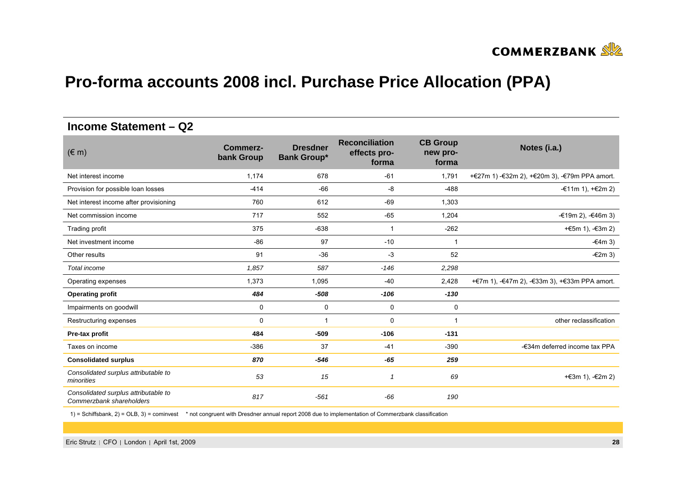

#### **Income Statement – Q2**

| $(\in$ m)                                                        | <b>Commerz-</b><br>bank Group | <b>Dresdner</b><br><b>Bank Group*</b> | <b>Reconciliation</b><br>effects pro-<br>forma | <b>CB Group</b><br>new pro-<br>forma | Notes (i.a.)                                  |
|------------------------------------------------------------------|-------------------------------|---------------------------------------|------------------------------------------------|--------------------------------------|-----------------------------------------------|
| Net interest income                                              | 1,174                         | 678                                   | $-61$                                          | 1,791                                | +€27m 1) -€32m 2), +€20m 3), -€79m PPA amort. |
| Provision for possible loan losses                               | $-414$                        | $-66$                                 | -8                                             | $-488$                               | -€11m 1), $+€2m 2$ )                          |
| Net interest income after provisioning                           | 760                           | 612                                   | $-69$                                          | 1,303                                |                                               |
| Net commission income                                            | 717                           | 552                                   | $-65$                                          | 1,204                                | $-€19m 2$ ), $-€46m 3$ )                      |
| Trading profit                                                   | 375                           | $-638$                                | $\mathbf{1}$                                   | $-262$                               | +€5m 1), $-€3m 2)$                            |
| Net investment income                                            | $-86$                         | 97                                    | $-10$                                          |                                      | $-64m3$                                       |
| Other results                                                    | 91                            | $-36$                                 | $-3$                                           | 52                                   | $-£2m3)$                                      |
| Total income                                                     | 1,857                         | 587                                   | $-146$                                         | 2,298                                |                                               |
| Operating expenses                                               | 1,373                         | 1,095                                 | $-40$                                          | 2,428                                | +€7m 1), -€47m 2), -€33m 3), +€33m PPA amort. |
| <b>Operating profit</b>                                          | 484                           | $-508$                                | $-106$                                         | $-130$                               |                                               |
| Impairments on goodwill                                          | 0                             | 0                                     | 0                                              | 0                                    |                                               |
| Restructuring expenses                                           | 0                             | -1                                    | 0                                              | $\overline{\mathbf{1}}$              | other reclassification                        |
| Pre-tax profit                                                   | 484                           | $-509$                                | $-106$                                         | $-131$                               |                                               |
| Taxes on income                                                  | $-386$                        | 37                                    | $-41$                                          | $-390$                               | -€34m deferred income tax PPA                 |
| <b>Consolidated surplus</b>                                      | 870                           | $-546$                                | $-65$                                          | 259                                  |                                               |
| Consolidated surplus attributable to<br>minorities               | 53                            | 15                                    | $\overline{1}$                                 | 69                                   | +€3m 1), -€2m 2)                              |
| Consolidated surplus attributable to<br>Commerzbank shareholders | 817                           | $-561$                                | $-66$                                          | 190                                  |                                               |

1) = Schiffsbank, 2) = OLB, 3) = cominvest \* not congruent with Dresdner annual report 2008 due to implementation of Commerzbank classification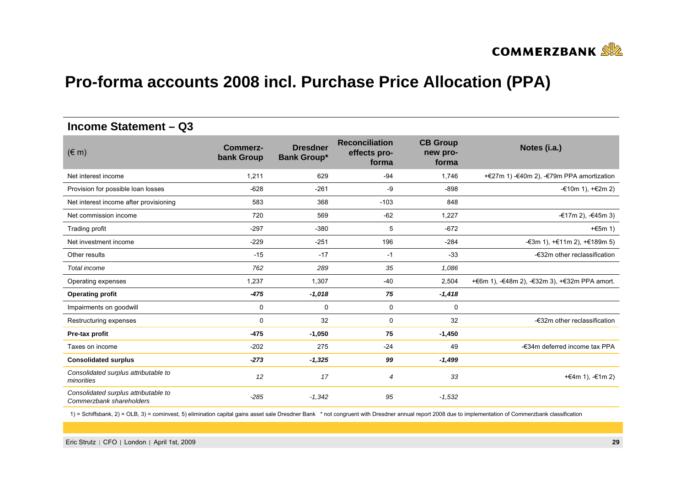

#### **Income Statement – Q3**

| $(\in$ m)                                                        | Commerz-<br>bank Group | <b>Dresdner</b><br><b>Bank Group*</b> | <b>Reconciliation</b><br>effects pro-<br>forma | <b>CB Group</b><br>new pro-<br>forma | Notes (i.a.)                                  |
|------------------------------------------------------------------|------------------------|---------------------------------------|------------------------------------------------|--------------------------------------|-----------------------------------------------|
| Net interest income                                              | 1,211                  | 629                                   | $-94$                                          | 1,746                                | +€27m 1) -€40m 2), -€79m PPA amortization     |
| Provision for possible loan losses                               | $-628$                 | $-261$                                | -9                                             | $-898$                               | -€10m 1), $+€2m 2$ )                          |
| Net interest income after provisioning                           | 583                    | 368                                   | $-103$                                         | 848                                  |                                               |
| Net commission income                                            | 720                    | 569                                   | $-62$                                          | 1,227                                | -€17m 2), -€45m 3)                            |
| Trading profit                                                   | $-297$                 | $-380$                                | 5                                              | $-672$                               | $+65m$ 1)                                     |
| Net investment income                                            | $-229$                 | $-251$                                | 196                                            | $-284$                               | -€3m 1), +€11m 2), +€189m 5)                  |
| Other results                                                    | $-15$                  | $-17$                                 | $-1$                                           | $-33$                                | -€32m other reclassification                  |
| Total income                                                     | 762                    | 289                                   | 35                                             | 1,086                                |                                               |
| Operating expenses                                               | 1,237                  | 1,307                                 | $-40$                                          | 2,504                                | +€6m 1), -€48m 2), -€32m 3), +€32m PPA amort. |
| <b>Operating profit</b>                                          | $-475$                 | $-1,018$                              | 75                                             | $-1,418$                             |                                               |
| Impairments on goodwill                                          | 0                      | $\mathbf 0$                           | $\mathbf 0$                                    | $\mathbf 0$                          |                                               |
| Restructuring expenses                                           | $\Omega$               | 32                                    | 0                                              | 32                                   | -€32m other reclassification                  |
| Pre-tax profit                                                   | $-475$                 | $-1,050$                              | 75                                             | $-1,450$                             |                                               |
| Taxes on income                                                  | $-202$                 | 275                                   | $-24$                                          | 49                                   | -€34m deferred income tax PPA                 |
| <b>Consolidated surplus</b>                                      | $-273$                 | $-1,325$                              | 99                                             | $-1,499$                             |                                               |
| Consolidated surplus attributable to<br>minorities               | 12                     | 17                                    | $\overline{4}$                                 | 33                                   | +€4m 1), -€1m 2)                              |
| Consolidated surplus attributable to<br>Commerzbank shareholders | $-285$                 | $-1,342$                              | 95                                             | $-1,532$                             |                                               |

1) = Schiffsbank, 2) = OLB, 3) = cominvest, 5) elimination capital gains asset sale Dresdner Bank \* not congruent with Dresdner annual report 2008 due to implementation of Commerzbank classification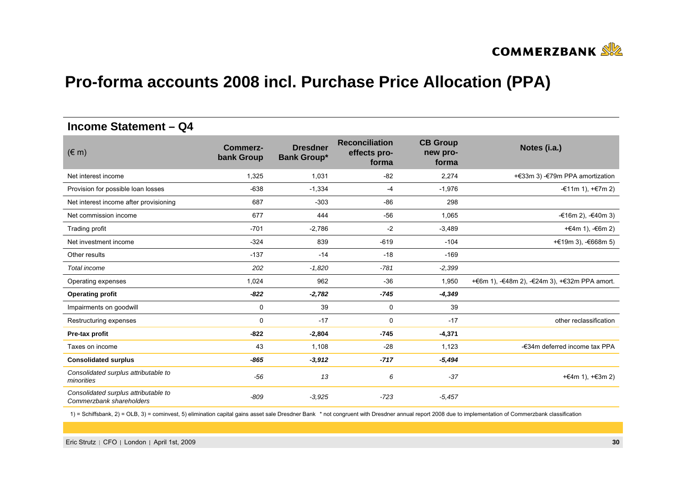

#### **Income Statement – Q4**

| $(\in$ m)                                                        | <b>Commerz-</b><br>bank Group | <b>Dresdner</b><br><b>Bank Group*</b> | <b>Reconciliation</b><br>effects pro-<br>forma | <b>CB Group</b><br>new pro-<br>forma | Notes (i.a.)                                  |
|------------------------------------------------------------------|-------------------------------|---------------------------------------|------------------------------------------------|--------------------------------------|-----------------------------------------------|
| Net interest income                                              | 1,325                         | 1,031                                 | $-82$                                          | 2,274                                | +€33m 3) -€79m PPA amortization               |
| Provision for possible loan losses                               | $-638$                        | $-1,334$                              | $-4$                                           | $-1,976$                             | $=$ €11m 1), $=$ €7m 2)                       |
| Net interest income after provisioning                           | 687                           | $-303$                                | $-86$                                          | 298                                  |                                               |
| Net commission income                                            | 677                           | 444                                   | $-56$                                          | 1,065                                | $-€16m 2$ ), $-€40m 3$ )                      |
| Trading profit                                                   | $-701$                        | $-2,786$                              | $-2$                                           | $-3,489$                             | +€4m 1), $-6$ 6m 2)                           |
| Net investment income                                            | $-324$                        | 839                                   | $-619$                                         | $-104$                               | + €19 m 3), $-668m 5$                         |
| Other results                                                    | $-137$                        | $-14$                                 | $-18$                                          | $-169$                               |                                               |
| Total income                                                     | 202                           | $-1,820$                              | $-781$                                         | $-2,399$                             |                                               |
| Operating expenses                                               | 1,024                         | 962                                   | $-36$                                          | 1,950                                | +€6m 1), -€48m 2), -€24m 3), +€32m PPA amort. |
| <b>Operating profit</b>                                          | $-822$                        | $-2,782$                              | $-745$                                         | $-4,349$                             |                                               |
| Impairments on goodwill                                          | 0                             | 39                                    | 0                                              | 39                                   |                                               |
| Restructuring expenses                                           | 0                             | $-17$                                 | 0                                              | $-17$                                | other reclassification                        |
| Pre-tax profit                                                   | $-822$                        | $-2,804$                              | $-745$                                         | $-4,371$                             |                                               |
| Taxes on income                                                  | 43                            | 1.108                                 | $-28$                                          | 1,123                                | -€34m deferred income tax PPA                 |
| <b>Consolidated surplus</b>                                      | $-865$                        | $-3,912$                              | $-717$                                         | $-5,494$                             |                                               |
| Consolidated surplus attributable to<br>minorities               | $-56$                         | 13                                    | 6                                              | $-37$                                | +€4m 1), $+€3m 2$ )                           |
| Consolidated surplus attributable to<br>Commerzbank shareholders | $-809$                        | $-3.925$                              | $-723$                                         | $-5,457$                             |                                               |

1) = Schiffsbank, 2) = OLB, 3) = cominvest, 5) elimination capital gains asset sale Dresdner Bank \* not congruent with Dresdner annual report 2008 due to implementation of Commerzbank classification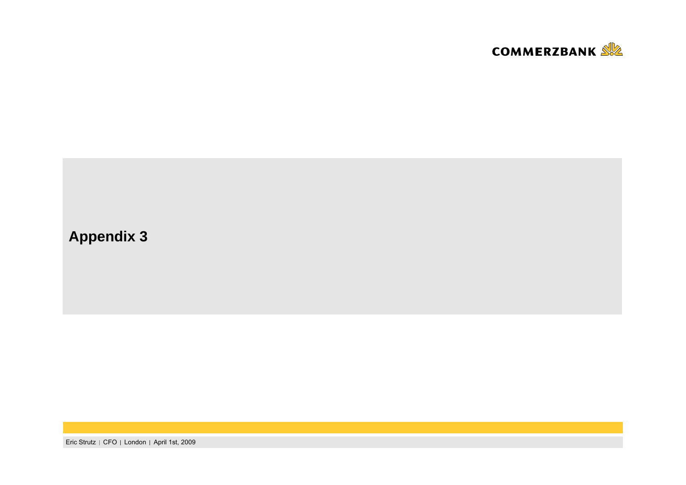

# **Appendix 3**

Eric Strutz | CFO | London | April 1st, 2009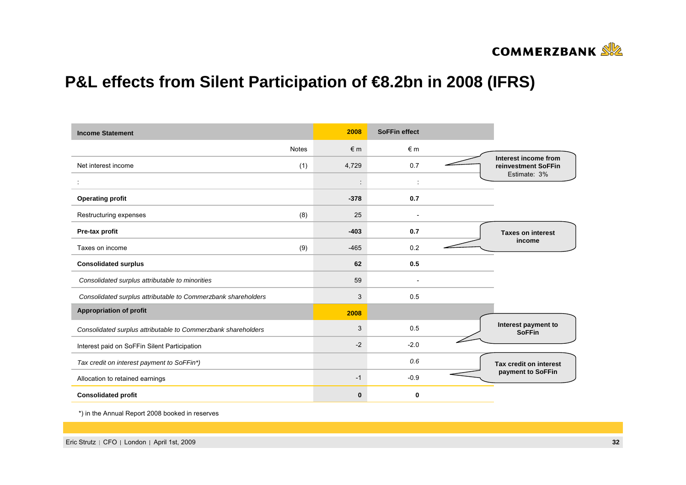

# **P&L effects from Silent Participation of €8.2bn in 2008 (IFRS)**

| <b>Income Statement</b>                                       |              | 2008      | <b>SoFFin effect</b> |                                             |
|---------------------------------------------------------------|--------------|-----------|----------------------|---------------------------------------------|
|                                                               | <b>Notes</b> | $\n  6 m$ | $\notin$ m           |                                             |
| Net interest income                                           | (1)          | 4,729     | 0.7                  | Interest income from<br>reinvestment SoFFin |
|                                                               |              |           |                      | Estimate: 3%                                |
| <b>Operating profit</b>                                       |              | $-378$    | 0.7                  |                                             |
| Restructuring expenses                                        | (8)          | 25        |                      |                                             |
| Pre-tax profit                                                |              | $-403$    | 0.7                  | <b>Taxes on interest</b>                    |
| Taxes on income                                               | (9)          | $-465$    | 0.2                  | income                                      |
| <b>Consolidated surplus</b>                                   |              | 62        | 0.5                  |                                             |
| Consolidated surplus attributable to minorities               |              | 59        |                      |                                             |
| Consolidated surplus attributable to Commerzbank shareholders |              | 3         | 0.5                  |                                             |
| <b>Appropriation of profit</b>                                |              | 2008      |                      |                                             |
| Consolidated surplus attributable to Commerzbank shareholders |              | 3         | 0.5                  | Interest payment to<br><b>SoFFin</b>        |
| Interest paid on SoFFin Silent Participation                  |              | $-2$      | $-2.0$               |                                             |
| Tax credit on interest payment to SoFFin*)                    |              |           | 0.6                  | Tax credit on interest                      |
| Allocation to retained earnings                               |              | $-1$      | $-0.9$               | payment to SoFFin                           |
| <b>Consolidated profit</b>                                    |              | $\bf{0}$  | 0                    |                                             |

\*) in the Annual Report 2008 booked in reserves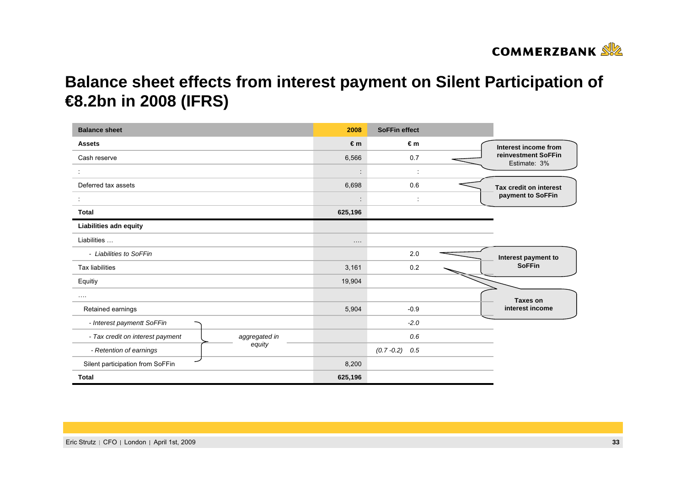

# **Balance sheet effects from interest payment on Silent Participation of €8.2bn in 2008 (IFRS)**

| <b>Balance sheet</b>             | 2008          | <b>SoFFin effect</b>            |                                     |                        |
|----------------------------------|---------------|---------------------------------|-------------------------------------|------------------------|
| <b>Assets</b>                    | €m            | €m                              | Interest income from                |                        |
| Cash reserve                     | 6,566         | 0.7                             | reinvestment SoFFin<br>Estimate: 3% |                        |
|                                  |               | $\cdot$                         | ÷                                   |                        |
| Deferred tax assets              |               | 6,698                           | 0.6                                 | Tax credit on interest |
|                                  |               | $\cdot$<br>$\ddot{\phantom{a}}$ | $\ddot{\phantom{a}}$                | payment to SoFFin      |
| Total                            | 625,196       |                                 |                                     |                        |
| Liabilities adn equity           |               |                                 |                                     |                        |
| Liabilities                      | $\cdots$      |                                 |                                     |                        |
| - Liabilities to SoFFin          |               |                                 | 2.0                                 | Interest payment to    |
| <b>Tax liabilities</b>           |               | 3,161                           | 0.2                                 | <b>SoFFin</b>          |
| Equitiy                          |               | 19,904                          |                                     |                        |
| $\cdots$                         |               |                                 |                                     | Taxes on               |
| Retained earnings                |               | 5,904                           | $-0.9$                              | interest income        |
| - Interest paymentt SoFFin       |               |                                 | $-2.0$                              |                        |
| - Tax credit on interest payment | aggregated in |                                 | 0.6                                 |                        |
| - Retention of earnings          | equity        |                                 | $(0.7 - 0.2)$ 0.5                   |                        |
| Silent participation from SoFFin |               | 8,200                           |                                     |                        |
| <b>Total</b>                     | 625,196       |                                 |                                     |                        |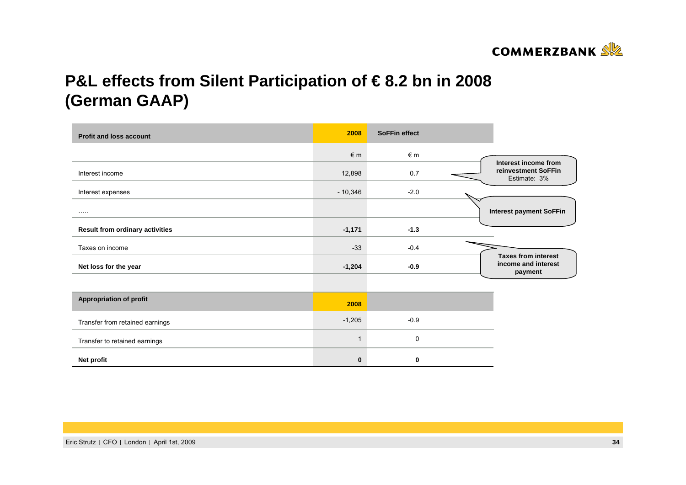

# **P&L effects from Silent Participation of € 8.2 bn in 2008 (German GAAP)**

| <b>Profit and loss account</b>         | 2008       | <b>SoFFin effect</b> |                                     |  |
|----------------------------------------|------------|----------------------|-------------------------------------|--|
|                                        | $\notin$ m | €m                   | Interest income from                |  |
| Interest income                        | 12,898     | 0.7                  | reinvestment SoFFin<br>Estimate: 3% |  |
| Interest expenses                      | $-10,346$  | $-2.0$               |                                     |  |
|                                        |            |                      | <b>Interest payment SoFFin</b>      |  |
| <b>Result from ordinary activities</b> | $-1,171$   | $-1.3$               |                                     |  |
| Taxes on income                        | $-33$      | $-0.4$               | <b>Taxes from interest</b>          |  |
| Net loss for the year                  | $-1,204$   | $-0.9$               | income and interest<br>payment      |  |
|                                        |            |                      |                                     |  |
| <b>Appropriation of profit</b>         | 2008       |                      |                                     |  |
| Transfer from retained earnings        | $-1,205$   | $-0.9$               |                                     |  |
| Transfer to retained earnings          |            | 0                    |                                     |  |
| Net profit                             | $\bf{0}$   | 0                    |                                     |  |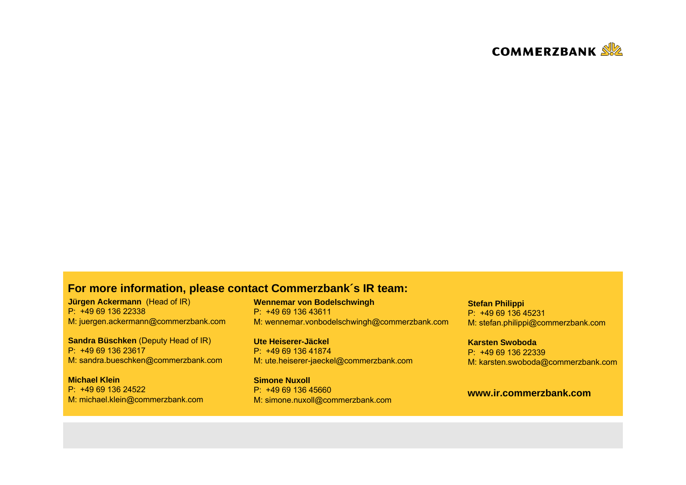

#### **For more information, please contact Commerzbank´s IR team:**

**Jürgen Ackermann** (Head of IR) P: +49 69 136 22338M: juergen.ackermann@commerzbank.com

**Sandra Büschken** (Deputy Head of IR) P: +49 69 136 23617M: sandra.bueschken@commerzbank.com

**Michael Klein**P: +49 69 136 24522M: michael.klein@commerzbank.com **Wennemar von Bodelschwingh** P: +49 69 136 43611M: wennemar.vonbodelschwingh@commerzbank.com

**Ute Heiserer-Jäckel** P: +49 69 136 41874 M: ute.heiserer-jaeckel@commerzbank.com

**Simone Nuxoll**P: +49 69 136 45660 M: simone.nuxoll@commerzbank.com

**Stefan Philippi** P: +49 69 136 45231M: stefan.philippi@commerzbank.com

**Karsten Swoboda**P: +49 69 136 22339 M: karsten.swoboda@commerzbank.com

#### **www.ir.commerzbank.com**